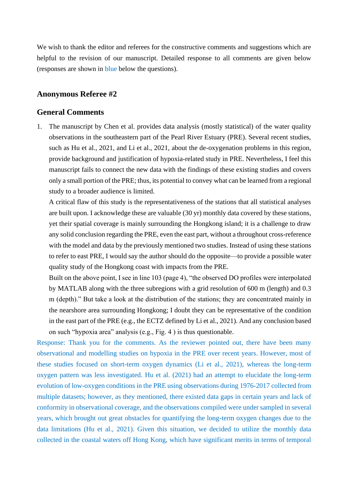We wish to thank the editor and referees for the constructive comments and suggestions which are helpful to the revision of our manuscript. Detailed response to all comments are given below (responses are shown in blue below the questions).

## **Anonymous Referee #2**

## **General Comments**

1. The manuscript by Chen et al. provides data analysis (mostly statistical) of the water quality observations in the southeastern part of the Pearl River Estuary (PRE). Several recent studies, such as Hu et al., 2021, and Li et al., 2021, about the de-oxygenation problems in this region, provide background and justification of hypoxia-related study in PRE. Nevertheless, I feel this manuscript fails to connect the new data with the findings of these existing studies and covers only a small portion of the PRE; thus, its potential to convey what can be learned from a regional study to a broader audience is limited.

A critical flaw of this study is the representativeness of the stations that all statistical analyses are built upon. I acknowledge these are valuable (30 yr) monthly data covered by these stations, yet their spatial coverage is mainly surrounding the Hongkong island; it is a challenge to draw any solid conclusion regarding the PRE, even the east part, without a throughout cross-reference with the model and data by the previously mentioned two studies. Instead of using these stations to refer to east PRE, I would say the author should do the opposite—to provide a possible water quality study of the Hongkong coast with impacts from the PRE.

Built on the above point, I see in line 103 (page 4), "the observed DO profiles were interpolated by MATLAB along with the three subregions with a grid resolution of 600 m (length) and 0.3 m (depth)." But take a look at the distribution of the stations; they are concentrated mainly in the nearshore area surrounding Hongkong; I doubt they can be representative of the condition in the east part of the PRE (e.g., the ECTZ defined by Li et al., 2021). And any conclusion based on such "hypoxia area" analysis (e.g., Fig. 4 ) is thus questionable.

Response: Thank you for the comments. As the reviewer pointed out, there have been many observational and modelling studies on hypoxia in the PRE over recent years. However, most of these studies focused on short-term oxygen dynamics (Li et al., 2021), whereas the long-term oxygen pattern was less investigated. Hu et al. (2021) had an attempt to elucidate the long-term evolution of low-oxygen conditions in the PRE using observations during 1976-2017 collected from multiple datasets; however, as they mentioned, there existed data gaps in certain years and lack of conformity in observational coverage, and the observations compiled were under sampled in several years, which brought out great obstacles for quantifying the long-term oxygen changes due to the data limitations (Hu et al., 2021). Given this situation, we decided to utilize the monthly data collected in the coastal waters off Hong Kong, which have significant merits in terms of temporal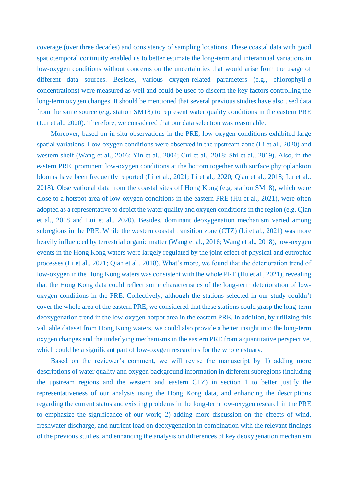coverage (over three decades) and consistency of sampling locations. These coastal data with good spatiotemporal continuity enabled us to better estimate the long-term and interannual variations in low-oxygen conditions without concerns on the uncertainties that would arise from the usage of different data sources. Besides, various oxygen-related parameters (e.g., chlorophyll-*a* concentrations) were measured as well and could be used to discern the key factors controlling the long-term oxygen changes. It should be mentioned that several previous studies have also used data from the same source (e.g. station SM18) to represent water quality conditions in the eastern PRE (Lui et al., 2020). Therefore, we considered that our data selection was reasonable.

Moreover, based on in-situ observations in the PRE, low-oxygen conditions exhibited large spatial variations. Low-oxygen conditions were observed in the upstream zone (Li et al., 2020) and western shelf (Wang et al., 2016; Yin et al., 2004; Cui et al., 2018; Shi et al., 2019). Also, in the eastern PRE, prominent low-oxygen conditions at the bottom together with surface phytoplankton blooms have been frequently reported (Li et al., 2021; Li et al., 2020; Qian et al., 2018; Lu et al., 2018). Observational data from the coastal sites off Hong Kong (e.g. station SM18), which were close to a hotspot area of low-oxygen conditions in the eastern PRE (Hu et al., 2021), were often adopted as a representative to depict the water quality and oxygen conditions in the region (e.g. Qian et al., 2018 and Lui et al., 2020). Besides, dominant deoxygenation mechanism varied among subregions in the PRE. While the western coastal transition zone (CTZ) (Li et al., 2021) was more heavily influenced by terrestrial organic matter (Wang et al., 2016; Wang et al., 2018), low-oxygen events in the Hong Kong waters were largely regulated by the joint effect of physical and eutrophic processes (Li et al., 2021; Qian et al., 2018). What's more, we found that the deterioration trend of low-oxygen in the Hong Kong waters was consistent with the whole PRE (Hu et al., 2021), revealing that the Hong Kong data could reflect some characteristics of the long-term deterioration of lowoxygen conditions in the PRE. Collectively, although the stations selected in our study couldn't cover the whole area of the eastern PRE, we considered that these stations could grasp the long-term deoxygenation trend in the low-oxygen hotpot area in the eastern PRE. In addition, by utilizing this valuable dataset from Hong Kong waters, we could also provide a better insight into the long-term oxygen changes and the underlying mechanisms in the eastern PRE from a quantitative perspective, which could be a significant part of low-oxygen researches for the whole estuary.

Based on the reviewer's comment, we will revise the manuscript by 1) adding more descriptions of water quality and oxygen background information in different subregions (including the upstream regions and the western and eastern CTZ) in section 1 to better justify the representativeness of our analysis using the Hong Kong data, and enhancing the descriptions regarding the current status and existing problems in the long-term low-oxygen research in the PRE to emphasize the significance of our work; 2) adding more discussion on the effects of wind, freshwater discharge, and nutrient load on deoxygenation in combination with the relevant findings of the previous studies, and enhancing the analysis on differences of key deoxygenation mechanism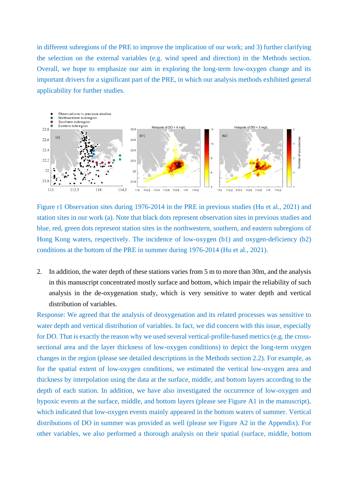in different subregions of the PRE to improve the implication of our work; and 3) further clarifying the selection on the external variables (e.g. wind speed and direction) in the Methods section. Overall, we hope to emphasize our aim in exploring the long-term low-oxygen change and its important drivers for a significant part of the PRE, in which our analysis methods exhibited general applicability for further studies.



Figure r1 Observation sites during 1976-2014 in the PRE in previous studies (Hu et al., 2021) and station sites in our work (a). Note that black dots represent observation sites in previous studies and blue, red, green dots represent station sites in the northwestern, southern, and eastern subregions of Hong Kong waters, respectively. The incidence of low-oxygen (b1) and oxygen-deficiency (b2) conditions at the bottom of the PRE in summer during 1976-2014 (Hu et al., 2021).

2. In addition, the water depth of these stations varies from 5 m to more than 30m, and the analysis in this manuscript concentrated mostly surface and bottom, which impair the reliability of such analysis in the de-oxygenation study, which is very sensitive to water depth and vertical distribution of variables.

Response: We agreed that the analysis of deoxygenation and its related processes was sensitive to water depth and vertical distribution of variables. In fact, we did concern with this issue, especially for DO. That is exactly the reason why we used several vertical-profile-based metrics (e.g. the crosssectional area and the layer thickness of low-oxygen conditions) to depict the long-term oxygen changes in the region (please see detailed descriptions in the Methods section 2.2). For example, as for the spatial extent of low-oxygen conditions, we estimated the vertical low-oxygen area and thickness by interpolation using the data at the surface, middle, and bottom layers according to the depth of each station. In addition, we have also investigated the occurrence of low-oxygen and hypoxic events at the surface, middle, and bottom layers (please see Figure A1 in the manuscript), which indicated that low-oxygen events mainly appeared in the bottom waters of summer. Vertical distributions of DO in summer was provided as well (please see Figure A2 in the Appendix). For other variables, we also performed a thorough analysis on their spatial (surface, middle, bottom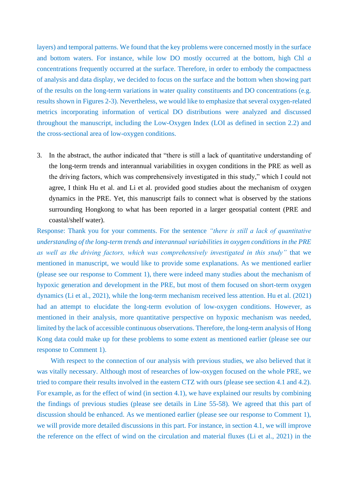layers) and temporal patterns. We found that the key problems were concerned mostly in the surface and bottom waters. For instance, while low DO mostly occurred at the bottom, high Chl *a*  concentrations frequently occurred at the surface. Therefore, in order to embody the compactness of analysis and data display, we decided to focus on the surface and the bottom when showing part of the results on the long-term variations in water quality constituents and DO concentrations (e.g. results shown in Figures 2-3). Nevertheless, we would like to emphasize that several oxygen-related metrics incorporating information of vertical DO distributions were analyzed and discussed throughout the manuscript, including the Low-Oxygen Index (LOI as defined in section 2.2) and the cross-sectional area of low-oxygen conditions.

3. In the abstract, the author indicated that "there is still a lack of quantitative understanding of the long-term trends and interannual variabilities in oxygen conditions in the PRE as well as the driving factors, which was comprehensively investigated in this study," which I could not agree, I think Hu et al. and Li et al. provided good studies about the mechanism of oxygen dynamics in the PRE. Yet, this manuscript fails to connect what is observed by the stations surrounding Hongkong to what has been reported in a larger geospatial content (PRE and coastal/shelf water).

Response: Thank you for your comments. For the sentence *"there is still a lack of quantitative understanding of the long-term trends and interannual variabilities in oxygen conditions in the PRE as well as the driving factors, which was comprehensively investigated in this study"* that we mentioned in manuscript, we would like to provide some explanations. As we mentioned earlier (please see our response to Comment 1), there were indeed many studies about the mechanism of hypoxic generation and development in the PRE, but most of them focused on short-term oxygen dynamics (Li et al., 2021), while the long-term mechanism received less attention. Hu et al. (2021) had an attempt to elucidate the long-term evolution of low-oxygen conditions. However, as mentioned in their analysis, more quantitative perspective on hypoxic mechanism was needed, limited by the lack of accessible continuous observations. Therefore, the long-term analysis of Hong Kong data could make up for these problems to some extent as mentioned earlier (please see our response to Comment 1).

With respect to the connection of our analysis with previous studies, we also believed that it was vitally necessary. Although most of researches of low-oxygen focused on the whole PRE, we tried to compare their results involved in the eastern CTZ with ours (please see section 4.1 and 4.2). For example, as for the effect of wind (in section 4.1), we have explained our results by combining the findings of previous studies (please see details in Line 55-58). We agreed that this part of discussion should be enhanced. As we mentioned earlier (please see our response to Comment 1), we will provide more detailed discussions in this part. For instance, in section 4.1, we will improve the reference on the effect of wind on the circulation and material fluxes (Li et al., 2021) in the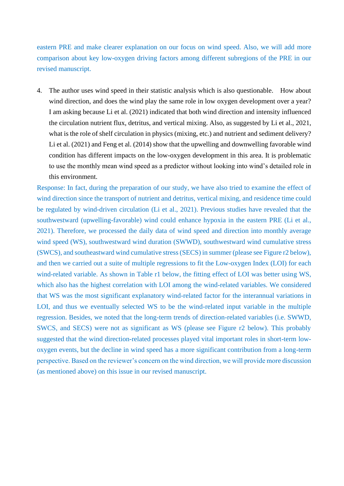eastern PRE and make clearer explanation on our focus on wind speed. Also, we will add more comparison about key low-oxygen driving factors among different subregions of the PRE in our revised manuscript.

4. The author uses wind speed in their statistic analysis which is also questionable. How about wind direction, and does the wind play the same role in low oxygen development over a year? I am asking because Li et al. (2021) indicated that both wind direction and intensity influenced the circulation nutrient flux, detritus, and vertical mixing. Also, as suggested by Li et al., 2021, what is the role of shelf circulation in physics (mixing, etc.) and nutrient and sediment delivery? Li et al. (2021) and Feng et al. (2014) show that the upwelling and downwelling favorable wind condition has different impacts on the low-oxygen development in this area. It is problematic to use the monthly mean wind speed as a predictor without looking into wind's detailed role in this environment.

Response: In fact, during the preparation of our study, we have also tried to examine the effect of wind direction since the transport of nutrient and detritus, vertical mixing, and residence time could be regulated by wind-driven circulation (Li et al., 2021). Previous studies have revealed that the southwestward (upwelling-favorable) wind could enhance hypoxia in the eastern PRE (Li et al., 2021). Therefore, we processed the daily data of wind speed and direction into monthly average wind speed (WS), southwestward wind duration (SWWD), southwestward wind cumulative stress (SWCS), and southeastward wind cumulative stress (SECS) in summer (please see Figure r2 below), and then we carried out a suite of multiple regressions to fit the Low-oxygen Index (LOI) for each wind-related variable. As shown in Table r1 below, the fitting effect of LOI was better using WS, which also has the highest correlation with LOI among the wind-related variables. We considered that WS was the most significant explanatory wind-related factor for the interannual variations in LOI, and thus we eventually selected WS to be the wind-related input variable in the multiple regression. Besides, we noted that the long-term trends of direction-related variables (i.e. SWWD, SWCS, and SECS) were not as significant as WS (please see Figure r2 below). This probably suggested that the wind direction-related processes played vital important roles in short-term lowoxygen events, but the decline in wind speed has a more significant contribution from a long-term perspective. Based on the reviewer's concern on the wind direction, we will provide more discussion (as mentioned above) on this issue in our revised manuscript.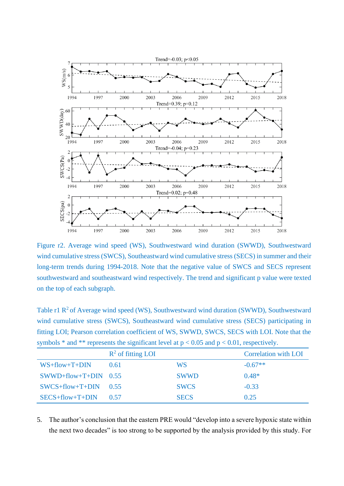

Figure r2. Average wind speed (WS), Southwestward wind duration (SWWD), Southwestward wind cumulative stress (SWCS), Southeastward wind cumulative stress (SECS) in summer and their long-term trends during 1994-2018. Note that the negative value of SWCS and SECS represent southwestward and southeastward wind respectively. The trend and significant p value were texted on the top of each subgraph.

Table r1  $\mathbb{R}^2$  of Average wind speed (WS), Southwestward wind duration (SWWD), Southwestward wind cumulative stress (SWCS), Southeastward wind cumulative stress (SECS) participating in fitting LOI; Pearson correlation coefficient of WS, SWWD, SWCS, SECS with LOI. Note that the symbols  $*$  and  $**$  represents the significant level at  $p < 0.05$  and  $p < 0.01$ , respectively.

|                              | $R^2$ of fitting LOI |             | <b>Correlation with LOI</b> |
|------------------------------|----------------------|-------------|-----------------------------|
| $WS+flow+T+DIN$              | 0.61                 | WS          | $-0.67**$                   |
| $SWWD + flow + T + DIN$ 0.55 |                      | <b>SWWD</b> | $0.48*$                     |
| $SWCS + flow + T + DIN$ 0.55 |                      | <b>SWCS</b> | $-0.33$                     |
| $SECS + flow + T + DIN$      | 0.57                 | <b>SECS</b> | 0.25                        |

5. The author's conclusion that the eastern PRE would "develop into a severe hypoxic state within the next two decades" is too strong to be supported by the analysis provided by this study. For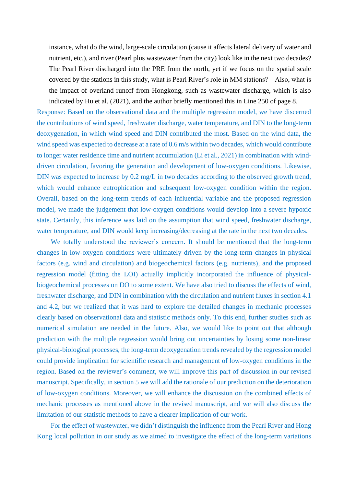instance, what do the wind, large-scale circulation (cause it affects lateral delivery of water and nutrient, etc.), and river (Pearl plus wastewater from the city) look like in the next two decades? The Pearl River discharged into the PRE from the north, yet if we focus on the spatial scale covered by the stations in this study, what is Pearl River's role in MM stations? Also, what is the impact of overland runoff from Hongkong, such as wastewater discharge, which is also indicated by Hu et al. (2021), and the author briefly mentioned this in Line 250 of page 8.

Response: Based on the observational data and the multiple regression model, we have discerned the contributions of wind speed, freshwater discharge, water temperature, and DIN to the long-term deoxygenation, in which wind speed and DIN contributed the most. Based on the wind data, the wind speed was expected to decrease at a rate of 0.6 m/s within two decades, which would contribute to longer water residence time and nutrient accumulation (Li et al., 2021) in combination with winddriven circulation, favoring the generation and development of low-oxygen conditions. Likewise, DIN was expected to increase by 0.2 mg/L in two decades according to the observed growth trend, which would enhance eutrophication and subsequent low-oxygen condition within the region. Overall, based on the long-term trends of each influential variable and the proposed regression model, we made the judgement that low-oxygen conditions would develop into a severe hypoxic state. Certainly, this inference was laid on the assumption that wind speed, freshwater discharge, water temperature, and DIN would keep increasing/decreasing at the rate in the next two decades.

We totally understood the reviewer's concern. It should be mentioned that the long-term changes in low-oxygen conditions were ultimately driven by the long-term changes in physical factors (e.g. wind and circulation) and biogeochemical factors (e.g. nutrients), and the proposed regression model (fitting the LOI) actually implicitly incorporated the influence of physicalbiogeochemical processes on DO to some extent. We have also tried to discuss the effects of wind, freshwater discharge, and DIN in combination with the circulation and nutrient fluxes in section 4.1 and 4.2, but we realized that it was hard to explore the detailed changes in mechanic processes clearly based on observational data and statistic methods only. To this end, further studies such as numerical simulation are needed in the future. Also, we would like to point out that although prediction with the multiple regression would bring out uncertainties by losing some non-linear physical-biological processes, the long-term deoxygenation trends revealed by the regression model could provide implication for scientific research and management of low-oxygen conditions in the region. Based on the reviewer's comment, we will improve this part of discussion in our revised manuscript. Specifically, in section 5 we will add the rationale of our prediction on the deterioration of low-oxygen conditions. Moreover, we will enhance the discussion on the combined effects of mechanic processes as mentioned above in the revised manuscript, and we will also discuss the limitation of our statistic methods to have a clearer implication of our work.

For the effect of wastewater, we didn't distinguish the influence from the Pearl River and Hong Kong local pollution in our study as we aimed to investigate the effect of the long-term variations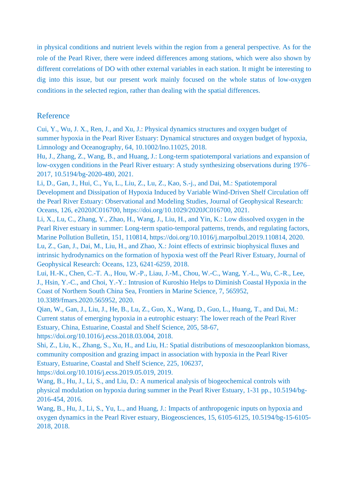in physical conditions and nutrient levels within the region from a general perspective. As for the role of the Pearl River, there were indeed differences among stations, which were also shown by different correlations of DO with other external variables in each station. It might be interesting to dig into this issue, but our present work mainly focused on the whole status of low-oxygen conditions in the selected region, rather than dealing with the spatial differences.

## Reference

Cui, Y., Wu, J. X., Ren, J., and Xu, J.: Physical dynamics structures and oxygen budget of summer hypoxia in the Pearl River Estuary: Dynamical structures and oxygen budget of hypoxia, Limnology and Oceanography, 64, 10.1002/lno.11025, 2018.

Hu, J., Zhang, Z., Wang, B., and Huang, J.: Long-term spatiotemporal variations and expansion of low-oxygen conditions in the Pearl River estuary: A study synthesizing observations during 1976– 2017, 10.5194/bg-2020-480, 2021.

Li, D., Gan, J., Hui, C., Yu, L., Liu, Z., Lu, Z., Kao, S.-j., and Dai, M.: Spatiotemporal Development and Dissipation of Hypoxia Induced by Variable Wind-Driven Shelf Circulation off the Pearl River Estuary: Observational and Modeling Studies, Journal of Geophysical Research: Oceans, 126, e2020JC016700, https://doi.org/10.1029/2020JC016700, 2021.

Li, X., Lu, C., Zhang, Y., Zhao, H., Wang, J., Liu, H., and Yin, K.: Low dissolved oxygen in the Pearl River estuary in summer: Long-term spatio-temporal patterns, trends, and regulating factors, Marine Pollution Bulletin, 151, 110814, https://doi.org/10.1016/j.marpolbul.2019.110814, 2020. Lu, Z., Gan, J., Dai, M., Liu, H., and Zhao, X.: Joint effects of extrinsic biophysical fluxes and intrinsic hydrodynamics on the formation of hypoxia west off the Pearl River Estuary, Journal of Geophysical Research: Oceans, 123, 6241-6259, 2018.

Lui, H.-K., Chen, C.-T. A., Hou, W.-P., Liau, J.-M., Chou, W.-C., Wang, Y.-L., Wu, C.-R., Lee, J., Hsin, Y.-C., and Choi, Y.-Y.: Intrusion of Kuroshio Helps to Diminish Coastal Hypoxia in the Coast of Northern South China Sea, Frontiers in Marine Science, 7, 565952, 10.3389/fmars.2020.565952, 2020.

Qian, W., Gan, J., Liu, J., He, B., Lu, Z., Guo, X., Wang, D., Guo, L., Huang, T., and Dai, M.: Current status of emerging hypoxia in a eutrophic estuary: The lower reach of the Pearl River Estuary, China, Estuarine, Coastal and Shelf Science, 205, 58-67,

https://doi.org/10.1016/j.ecss.2018.03.004, 2018.

Shi, Z., Liu, K., Zhang, S., Xu, H., and Liu, H.: Spatial distributions of mesozooplankton biomass, community composition and grazing impact in association with hypoxia in the Pearl River Estuary, Estuarine, Coastal and Shelf Science, 225, 106237, https://doi.org/10.1016/j.ecss.2019.05.019, 2019.

Wang, B., Hu, J., Li, S., and Liu, D.: A numerical analysis of biogeochemical controls with physical modulation on hypoxia during summer in the Pearl River Estuary, 1-31 pp., 10.5194/bg-2016-454, 2016.

Wang, B., Hu, J., Li, S., Yu, L., and Huang, J.: Impacts of anthropogenic inputs on hypoxia and oxygen dynamics in the Pearl River estuary, Biogeosciences, 15, 6105-6125, 10.5194/bg-15-6105- 2018, 2018.